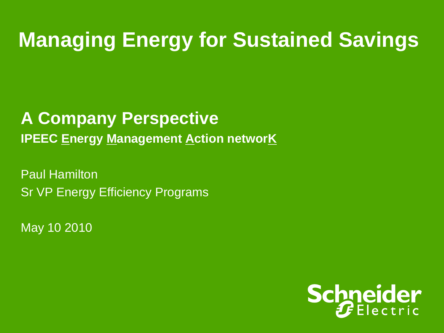### **Managing Energy for Sustained Savings**

**A Company Perspective IPEEC Energy Management Action networK** 

Paul Hamilton Sr VP Energy Efficiency Programs

May 10 2010

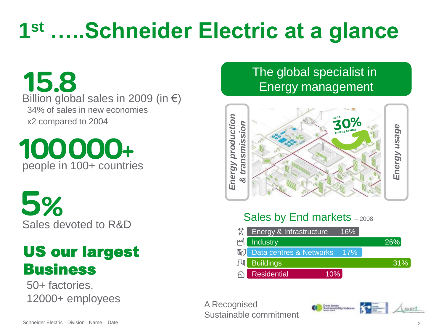# **1 st …..Schneider Electric at a glance**

15.8 Billion global sales in 2009 (in  $\epsilon$ ) 34% of sales in new economies x2 compared to 2004

100000+ people in 100+ countries

5% Sales devoted to R&D

#### US our largest Business

50+ factories, 12000+ employees

#### The global specialist in Energy management



#### Sales by End markets - 2008

|    | <b>X</b> Energy & Infrastructure          | 16% |     |
|----|-------------------------------------------|-----|-----|
| M' | <b>Industry</b>                           |     | 26% |
|    | <b>In Data centres &amp; Networks</b> 17% |     |     |
| 凸  | <b>Buildings</b>                          |     | 31% |
|    | <b>Residential</b>                        | 10% |     |

A Recognised Sustainable commitment

Dow Jones<br>Sustainability Indexes

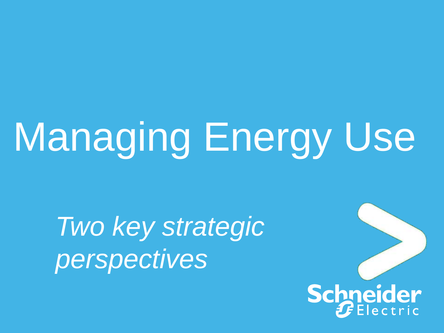# Managing Energy Use

*Two key strategic perspectives*

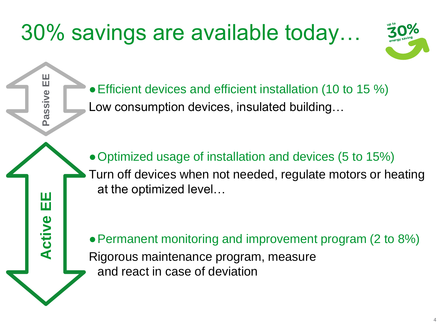## 30% savings are available today…

**Passive EE**

**Active EE Active EE**



● Efficient devices and efficient installation (10 to 15 %) Low consumption devices, insulated building…

• Optimized usage of installation and devices (5 to 15%) Turn off devices when not needed, regulate motors or heating at the optimized level…

• Permanent monitoring and improvement program (2 to 8%) Rigorous maintenance program, measure and react in case of deviation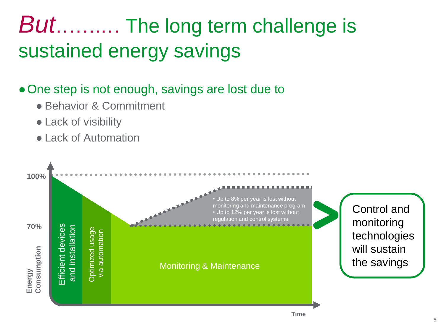### *But*…….… The long term challenge is sustained energy savings

#### • One step is not enough, savings are lost due to

- Behavior & Commitment
- Lack of visibility
- Lack of Automation

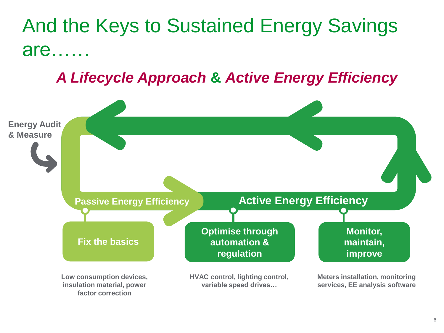#### And the Keys to Sustained Energy Savings are……

*A Lifecycle Approach* **&** *Active Energy Efficiency*

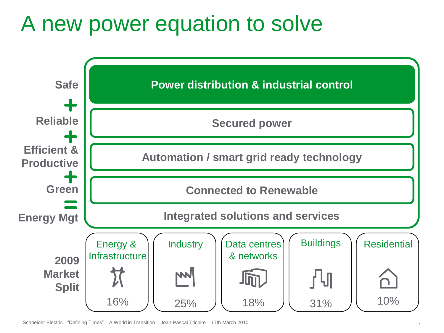### A new power equation to solve



Schneider Electric - "Defining Times" – A World in Transition – Jean-Pascal Tricoire – 17th March 2010 7 7 7 7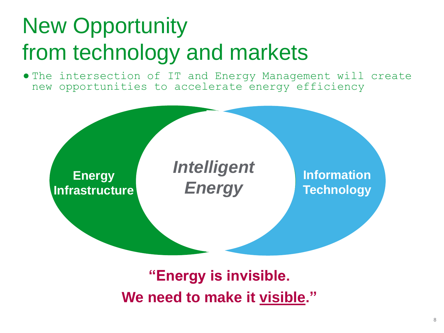# New Opportunity from technology and markets

● The intersection of IT and Energy Management will create new opportunities to accelerate energy efficiency



#### **"Energy is invisible. We need to make it visible."**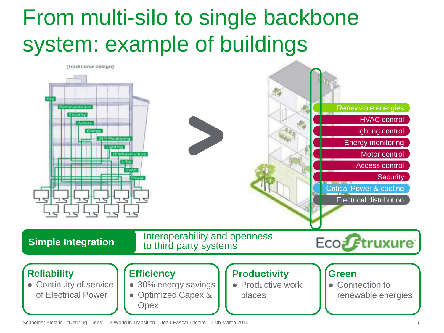### From multi-silo to single backbone system: example of buildings



Schneider Electric - "Defining Times" – A World in Transition – Jean-Pascal Tricoire – 17th March 2010 9 (1990) 9 (1990) 9 (1990) 9 (1990) 9 (1990) 9 (1990) 9 (1990) 9 (1990) 9 (1990) 9 (1990) 9 (1990) 9 (1990) 9 (1990) 9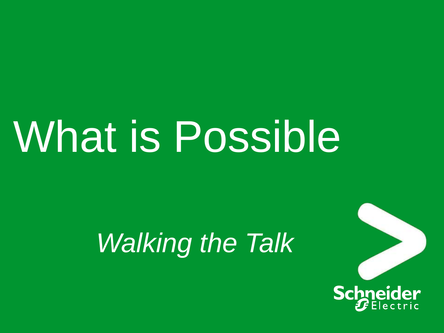# What is Possible

# *Walking the Talk*

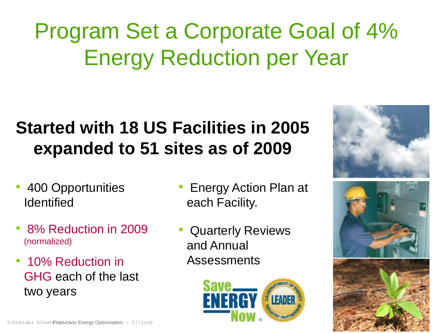# Program Set a Corporate Goal of 4% Energy Reduction per Year

#### **Started with 18 US Facilities in 2005 expanded to 51 sites as of 2009**

- 400 Opportunities **Identified**
- 8% Reduction in 2009 (normalized)
- 10% Reduction in GHG each of the last two years
- Energy Action Plan at each Facility.
- Quarterly Reviews and Annual Assessments





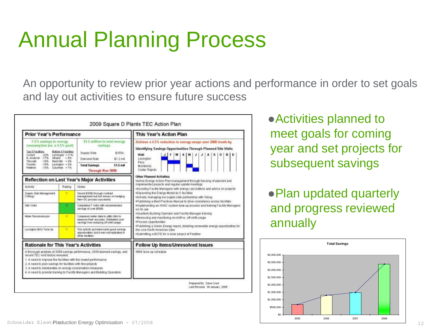### Annual Planning Process

An opportunity to review prior year actions and performance in order to set goals and lay out activities to ensure future success

| <b>Prior Year's Performance</b>                                                                                                                                                                                                                                                                       |        |                                                                                                                                                                  | This Year's Action Plan                                                                                                                                                                                                                                                               |  |  |  |  |
|-------------------------------------------------------------------------------------------------------------------------------------------------------------------------------------------------------------------------------------------------------------------------------------------------------|--------|------------------------------------------------------------------------------------------------------------------------------------------------------------------|---------------------------------------------------------------------------------------------------------------------------------------------------------------------------------------------------------------------------------------------------------------------------------------|--|--|--|--|
| 7.5% savings in entruy<br>consumption (vs. a 4.5% good)<br>Top 5 Facilities<br><b>Button 5 Facilities</b><br>Chiford 22% LeVergne +11%<br>N.Analover -17% Athene + 5%<br>$-1696$<br>Nachville + 4%<br><b>Tiesconia</b><br>Teronto:<br>$-18\%$ induston $+2\%$<br>Painting.<br>$-15\%$ Columbia $+1\%$ |        | \$1.5 million in total energy<br>savings.<br><b>Bupply Side</b><br>\$355k<br>Demand Side<br>$$1.2$ mil.<br>\$1.5 mil<br><b>Total Savings</b><br>Through Nov 2008 | Achieve a 4.5% reduction in energy usage over 2008 levels by<br>Identifying Savings Opportunities Through Planned Site Visits<br>Visit<br>J.<br>Ai<br>5 <sub>1</sub><br>F M<br>$A$   M  <br>J.<br>$\Omega$<br>$N+D$<br>L'excitation.<br>Faru <sup>-</sup><br>Montemey<br>Cedar Rapids |  |  |  |  |
|                                                                                                                                                                                                                                                                                                       |        | Reflection on Last Year's Major Activities                                                                                                                       | <b>Other Planned Activities</b><br>*Active Energy Action Planmanagement through tracking of planned and                                                                                                                                                                               |  |  |  |  |
| Activity                                                                                                                                                                                                                                                                                              | Rating | Motos                                                                                                                                                            | implemented projects and regular update meetings.<br>+Assisting Facility Managers with energy calculations and advice on projects                                                                                                                                                     |  |  |  |  |
| Superiy Side Mahagement<br>(Viking)                                                                                                                                                                                                                                                                   |        | Saved \$300k through contract<br>manisce ment but lost money on heckens.<br>New GC process successful.                                                           | .Expanding the Energy Model by 5 facilities<br>Actively managing our siggily side partnership with Viking<br>·Publishing a Best Practices Manual to drive consistency across facilities                                                                                               |  |  |  |  |
| Sile Visite                                                                                                                                                                                                                                                                                           | œ      | Completed 7 visits with recommended<br>cavings of over \$500k.                                                                                                   | Hmplementing an HVAC system tune up process and training Facility Managers<br>eau ati no                                                                                                                                                                                              |  |  |  |  |
| Meter Recommission<br>÷                                                                                                                                                                                                                                                                               |        | Compared meter data to utility billis to:<br>instature their accuracy. Extinated cost-<br>saving from reducing off-shift upage.                                  | .Quarterly Building Operator and Facility Manager training<br>. Measuring and monitoring on-shift vs. off-shift usage<br>·Process apportunities                                                                                                                                       |  |  |  |  |
| Lexington BAS Tune-Up                                                                                                                                                                                                                                                                                 |        | This activity provided some good swyings<br>opportunities, but it was not replicated in<br>other tacklies.                                                       | .Publishing a Green Energy report, detailing renewable energy opportunities for<br>the core North American Isles.<br>.Submitting a BCFE for a solar project at Palatine                                                                                                               |  |  |  |  |
| <b>Rationale for This Year's Activities</b>                                                                                                                                                                                                                                                           |        |                                                                                                                                                                  | Follow Up Items/Unresolved Issues                                                                                                                                                                                                                                                     |  |  |  |  |
| recent TEC wisit history revealed<br>1. A need to improve the facilities with the inwest performance.<br>2. A need to plan savings for facilities with few projects.<br>3. A need to standardize on energy conservation measures                                                                      |        | A thorough analysis of 2008 savings performance, 2009 planned savings, and<br>4. A need to provide training to Facility Managers: and Building Operators         | -BAS tune up sithedule                                                                                                                                                                                                                                                                |  |  |  |  |
|                                                                                                                                                                                                                                                                                                       |        |                                                                                                                                                                  | Prepared By: Dave Crure                                                                                                                                                                                                                                                               |  |  |  |  |

●Activities planned to meet goals for coming year and set projects for subsequent savings

●Plan updated quarterly and progress reviewed annually

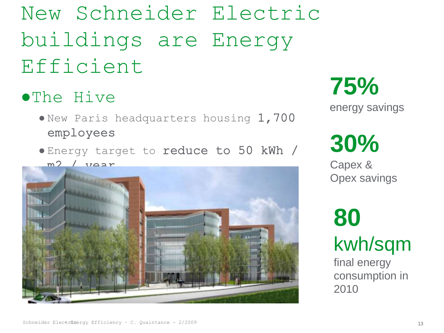### New Schneider Electric buildings are Energy Efficient

#### ●The Hive

- New Paris headquarters housing 1,700 employees
- Energy target to reduce to 50 kWh /



**75%**

energy savings

# **30%**

Capex & Opex savings

**80** kwh/sqm

final energy consumption in 2010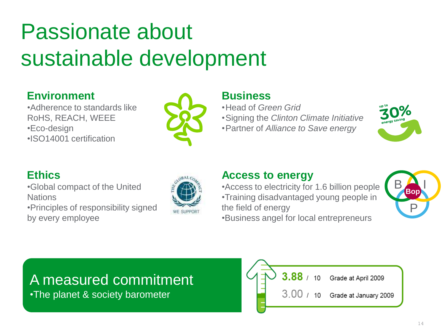### Passionate about sustainable development

#### **Environment**

•Adherence to standards like RoHS, REACH, WEEE •Eco-design •ISO14001 certification



#### **Business**

•Head of *Green Grid*

•Signing the *Clinton Climate Initiative*

•Partner of *Alliance to Save energy*



#### **Ethics**

•Global compact of the United **Nations** •Principles of responsibility signed by every employee



#### **Access to energy**

•Access to electricity for 1.6 billion people •Training disadvantaged young people in the field of energy •Business angel for local entrepreneurs



#### A measured commitment

•The planet & society barometer

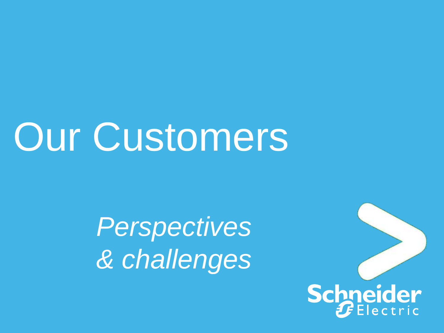# **Our Customers**

*Perspectives & challenges*

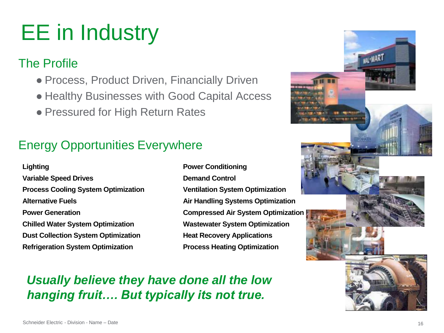# EE in Industry

#### The Profile

- Process, Product Driven, Financially Driven
- Healthy Businesses with Good Capital Access
- Pressured for High Return Rates

#### Energy Opportunities Everywhere

- **Lighting Power Conditioning Variable Speed Drives Demand Control Process Cooling System Optimization Ventilation System Optimization Alternative Fuels Air Handling Systems Optimization Power Generation Compressed Air System Optimization Chilled Water System Optimization Wastewater System Optimization Dust Collection System Optimization <b>Heat Recovery Applications Refrigeration System Optimization Process Heating Optimization**
	-

*Usually believe they have done all the low hanging fruit…. But typically its not true.*

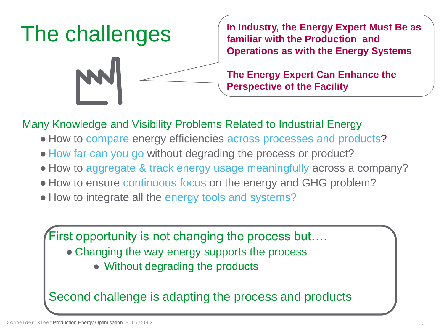

**In Industry, the Energy Expert Must Be as familiar with the Production and Operations as with the Energy Systems**

**The Energy Expert Can Enhance the Perspective of the Facility**

Many Knowledge and Visibility Problems Related to Industrial Energy

- How to compare energy efficiencies across processes and products?
- How far can you go without degrading the process or product?
- How to aggregate & track energy usage meaningfully across a company?
- How to ensure continuous focus on the energy and GHG problem?
- How to integrate all the energy tools and systems?

First opportunity is not changing the process but….

- Changing the way energy supports the process
	- Without degrading the products

Second challenge is adapting the process and products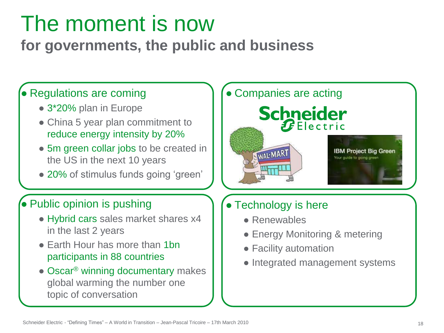### The moment is now

**for governments, the public and business**

#### • Regulations are coming

- 3\*20% plan in Europe
- China 5 year plan commitment to reduce energy intensity by 20%
- 5m green collar jobs to be created in the US in the next 10 years
- 20% of stimulus funds going 'green'

#### ● Public opinion is pushing

- Hybrid cars sales market shares x4 in the last 2 years
- Earth Hour has more than 1bn participants in 88 countries
- Oscar<sup>®</sup> winning documentary makes global warming the number one topic of conversation



#### ● Technology is here

- Renewables
- Energy Monitoring & metering
- Facility automation
- Integrated management systems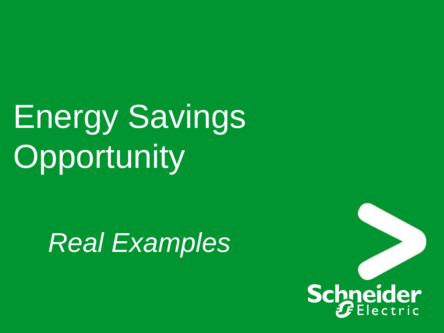# Energy Savings **Opportunity**

# *Real Examples*

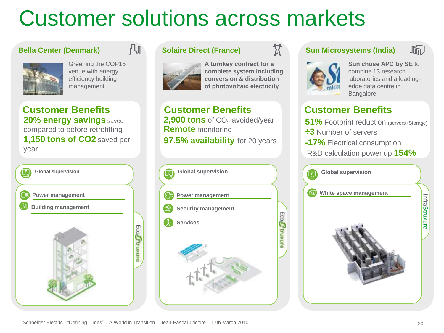### Customer solutions across markets

#### **Bella Center (Denmark)**



Greening the COP15 venue with energy efficiency building management

凸

**Customer Benefits Customer Benefits 20% energy savings** saved compared to before retrofitting **1,150 tons of CO2** saved per year



#### **Solaire Direct (France)**



**A turnkey contract for a complete system including conversion & distribution of photovoltaic electricity**

 $\bm{\Sigma}$ 

**2,900 tons** of CO<sub>2</sub> avoided/year **Remote** monitoring **97.5% availability** for 20 years



#### **Sun Microsystems (India)**



**Sun chose APC by SE** to combine 13 research laboratories and a leadingedge data centre in Bangalore.

#### **Customer Benefits**

- **51%** Footprint reduction (servers+Storage)
- **÷3** Number of servers
- **-17%** Electrical consumption
- R&D calculation power up **154%**

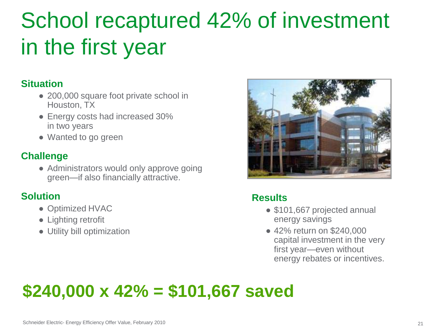### School recaptured 42% of investment in the first year

#### **Situation**

- 200,000 square foot private school in Houston, TX
- Energy costs had increased 30% in two years
- Wanted to go green

#### **Challenge**

• Administrators would only approve going green—if also financially attractive.

#### **Solution**

- Optimized HVAC
- Lighting retrofit
- Utility bill optimization



#### **Results**

- \$101,667 projected annual energy savings
- 42% return on \$240,000 capital investment in the very first year—even without energy rebates or incentives.

#### $\overline{a}$  and  $\overline{a}$  find \$240,000 x 42% = \$101,667 saved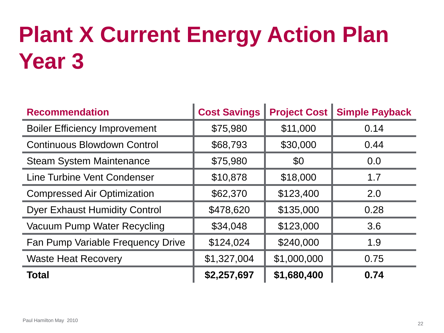# **Plant X Current Energy Action Plan Year 3**

| <b>Recommendation</b>                | <b>Cost Savings</b> | <b>Project Cost</b> | <b>Simple Payback</b> |  |
|--------------------------------------|---------------------|---------------------|-----------------------|--|
| <b>Boiler Efficiency Improvement</b> | \$75,980            | \$11,000            | 0.14                  |  |
| <b>Continuous Blowdown Control</b>   | \$68,793            | \$30,000            | 0.44                  |  |
| <b>Steam System Maintenance</b>      | \$75,980            | \$0                 | 0.0                   |  |
| Line Turbine Vent Condenser          | \$10,878            | \$18,000            | 1.7                   |  |
| <b>Compressed Air Optimization</b>   | \$62,370            | \$123,400           | 2.0                   |  |
| <b>Dyer Exhaust Humidity Control</b> | \$478,620           | \$135,000           | 0.28                  |  |
| Vacuum Pump Water Recycling          | \$34,048            | \$123,000           | 3.6                   |  |
| Fan Pump Variable Frequency Drive    | \$124,024           | \$240,000           | 1.9                   |  |
| <b>Waste Heat Recovery</b>           | \$1,327,004         | \$1,000,000         | 0.75                  |  |
| <b>Total</b>                         | \$2,257,697         | \$1,680,400         | 0.74                  |  |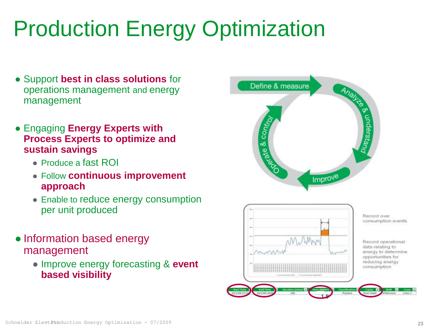# Production Energy Optimization

- Support **best in class solutions** for operations management and energy management
- Engaging **Energy Experts with Process Experts to optimize and sustain savings**
	- Produce a fast ROI
	- Follow **continuous improvement approach**
	- Enable to reduce energy consumption per unit produced
- Information based energy management
	- Improve energy forecasting & **event based visibility**

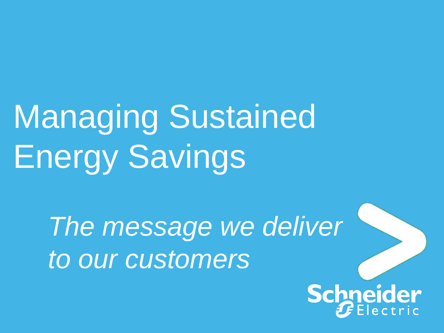# Managing Sustained Energy Savings

*The message we deliver to our customers*

> Schneider ectric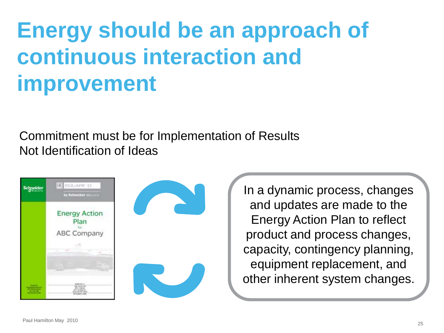## **Energy should be an approach of continuous interaction and improvement**

Commitment must be for Implementation of Results Not Identification of Ideas



In a dynamic process, changes and updates are made to the Energy Action Plan to reflect product and process changes, capacity, contingency planning, equipment replacement, and other inherent system changes.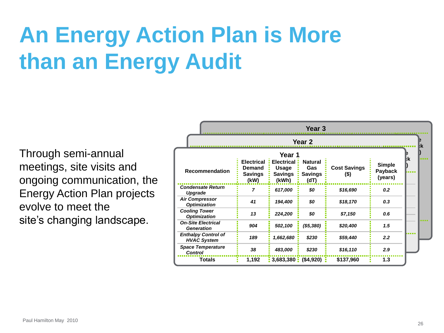# **An Energy Action Plan is More than an Energy Audit**

Through semi-annual meetings, site visits and ongoing communication, the Energy Action Plan projects evolve to meet the site's changing landscape.

| Year 3                                           |                                                       |                                                                 |                                                 |                             |                                     |  |  |
|--------------------------------------------------|-------------------------------------------------------|-----------------------------------------------------------------|-------------------------------------------------|-----------------------------|-------------------------------------|--|--|
| Year 2                                           |                                                       |                                                                 |                                                 |                             |                                     |  |  |
| <b>Recommendation</b>                            | <b>Electrical</b><br>Demand<br><b>Savings</b><br>(kW) | Year 1<br><b>Electrical</b><br>Usage<br><b>Savings</b><br>(kWh) | <b>Natural</b><br>Gas<br><b>Savings</b><br>(dT) | <b>Cost Savings</b><br>(\$) | <b>Simple</b><br>Payback<br>(years) |  |  |
| <b>Condensate Return</b><br>Upgrade              | 7                                                     | 617,000                                                         | \$0                                             | \$16,690                    | 0.2                                 |  |  |
| <b>Air Compressor</b><br><b>Optimization</b>     | 41                                                    | 194,400                                                         | \$0                                             | \$18,170                    | 0.3                                 |  |  |
| <b>Cooling Tower</b><br><b>Optimization</b>      | 13                                                    | 224,200                                                         | \$0                                             | \$7,150                     | 0.6                                 |  |  |
| <b>On-Site Electrical</b><br><b>Generation</b>   | 904                                                   | 502,100                                                         | ( \$5,380)                                      | \$20,400                    | 1.5                                 |  |  |
| <b>Enthalpy Control of</b><br><b>HVAC System</b> | 189                                                   | 1,662,680                                                       | \$230                                           | \$59,440                    | 2.2                                 |  |  |
| <b>Space Temperature</b><br><b>Control</b>       | 38                                                    | 483,000                                                         | \$230                                           | \$16,110                    | 2.9                                 |  |  |
| <b>Totals</b>                                    | 1,192                                                 | $\frac{1}{2}$ 3,683,380 $\frac{1}{2}$                           | (\$4,920)                                       | \$137,960                   | 1.3                                 |  |  |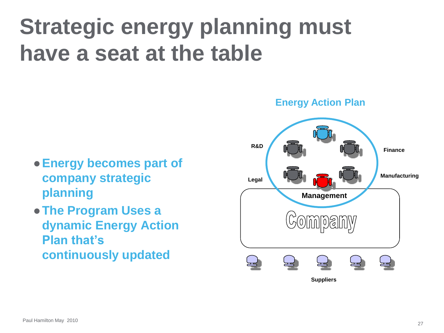## **Strategic energy planning must have a seat at the table**

- ●**Energy becomes part of company strategic planning**
- ●**The Program Uses a dynamic Energy Action Plan that's continuously updated**

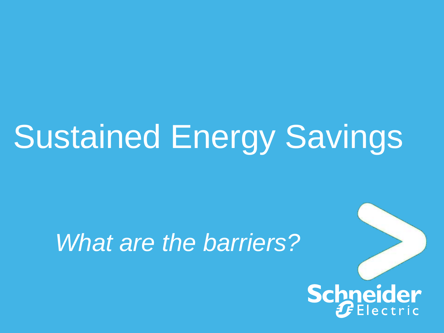# Sustained Energy Savings

### *What are the barriers?*

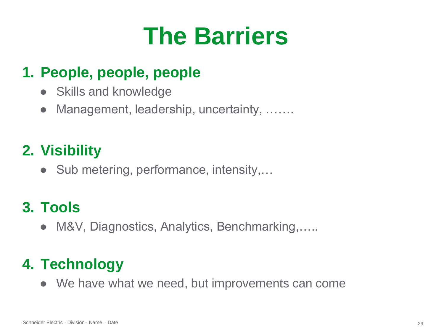# **The Barriers**

#### **1. People, people, people**

- Skills and knowledge
- Management, leadership, uncertainty, .......

#### **2. Visibility**

• Sub metering, performance, intensity,...

#### **3. Tools**

● M&V, Diagnostics, Analytics, Benchmarking,.....

#### **4. Technology**

• We have what we need, but improvements can come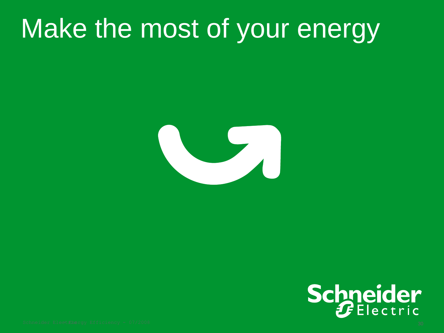# Make the most of your energy



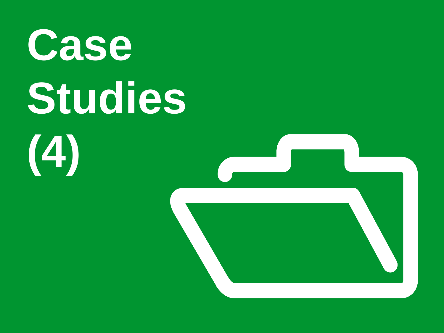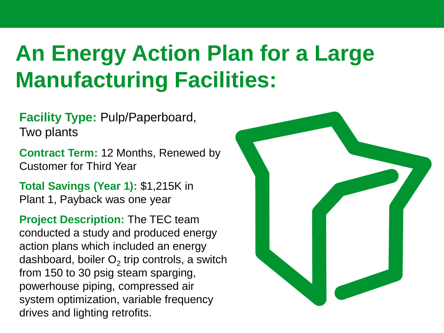### **An Energy Action Plan for a Large Manufacturing Facilities:**

**Facility Type:** Pulp/Paperboard, Two plants

**Contract Term:** 12 Months, Renewed by Customer for Third Year

**Total Savings (Year 1):** \$1,215K in Plant 1, Payback was one year

**Project Description:** The TEC team conducted a study and produced energy action plans which included an energy dashboard, boiler  $\mathsf{O}_2$  trip controls, a switch from 150 to 30 psig steam sparging, powerhouse piping, compressed air system optimization, variable frequency drives and lighting retrofits.

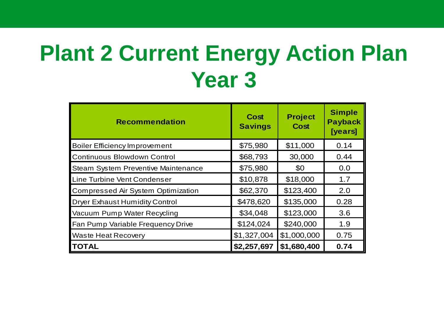### **Plant 2 Current Energy Action Plan Year 3**

| <b>Recommendation</b>                      | Cost<br><b>Savings</b> | <b>Project</b><br><b>Cost</b> | <b>Simple</b><br><b>Payback</b><br>[years] |
|--------------------------------------------|------------------------|-------------------------------|--------------------------------------------|
| <b>Boiler Efficiency Improvement</b>       | \$75,980               | \$11,000                      | 0.14                                       |
| Continuous Blowdown Control                | \$68,793               | 30,000                        | 0.44                                       |
| <b>Steam System Preventive Maintenance</b> | \$75,980               | \$0                           | 0.0                                        |
| Line Turbine Vent Condenser                | \$10,878               | \$18,000                      | 1.7                                        |
| Compressed Air System Optimization         | \$62,370               | \$123,400                     | 2.0                                        |
| <b>Dryer Exhaust Humidity Control</b>      | \$478,620              | \$135,000                     | 0.28                                       |
| Vacuum Pump Water Recycling                | \$34,048               | \$123,000                     | 3.6                                        |
| Fan Pump Variable Frequency Drive          | \$124,024              | \$240,000                     | 1.9                                        |
| <b>Waste Heat Recovery</b>                 | \$1,327,004            | \$1,000,000                   | 0.75                                       |
| <b>ITOTAL</b>                              | \$2,257,697            | \$1,680,400                   | 0.74                                       |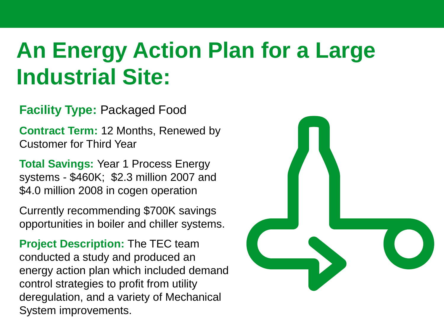### **An Energy Action Plan for a Large Industrial Site:**

#### **Facility Type:** Packaged Food

**Contract Term:** 12 Months, Renewed by Customer for Third Year

**Total Savings:** Year 1 Process Energy systems - \$460K; \$2.3 million 2007 and \$4.0 million 2008 in cogen operation

Currently recommending \$700K savings opportunities in boiler and chiller systems.

**Project Description:** The TEC team conducted a study and produced an energy action plan which included demand control strategies to profit from utility deregulation, and a variety of Mechanical System improvements.

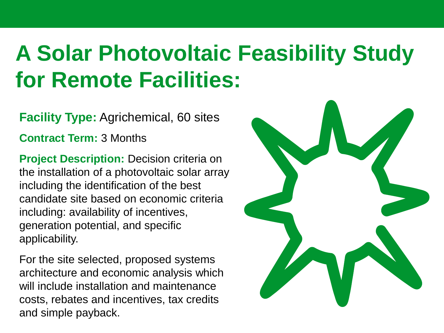### **A Solar Photovoltaic Feasibility Study for Remote Facilities:**

**Facility Type:** Agrichemical, 60 sites

**Contract Term:** 3 Months

**Project Description:** Decision criteria on the installation of a photovoltaic solar array including the identification of the best candidate site based on economic criteria including: availability of incentives, generation potential, and specific applicability.

For the site selected, proposed systems architecture and economic analysis which will include installation and maintenance costs, rebates and incentives, tax credits and simple payback.